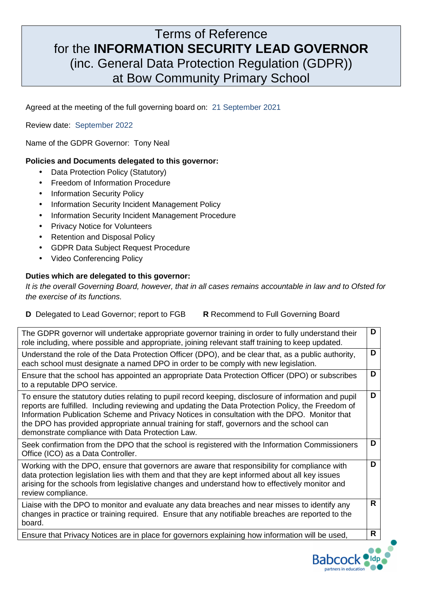## Terms of Reference for the **INFORMATION SECURITY LEAD GOVERNOR** (inc. General Data Protection Regulation (GDPR)) at Bow Community Primary School

Agreed at the meeting of the full governing board on:21 September 2021

Review date: September 2022

Name of the GDPR Governor: Tony Neal

## **Policies and Documents delegated to this governor:**

- Data Protection Policy (Statutory)
- Freedom of Information Procedure
- Information Security Policy
- Information Security Incident Management Policy
- Information Security Incident Management Procedure
- Privacy Notice for Volunteers
- Retention and Disposal Policy
- GDPR Data Subject Request Procedure
- Video Conferencing Policy

## **Duties which are delegated to this governor:**

It is the overall Governing Board, however, that in all cases remains accountable in law and to Ofsted for the exercise of its functions.

| <b>D</b> Delegated to Lead Governor; report to FGB | <b>R</b> Recommend to Full Governing Board |
|----------------------------------------------------|--------------------------------------------|
|----------------------------------------------------|--------------------------------------------|

| The GDPR governor will undertake appropriate governor training in order to fully understand their<br>role including, where possible and appropriate, joining relevant staff training to keep updated.                                                                                                                                                                                                                                                       | D |
|-------------------------------------------------------------------------------------------------------------------------------------------------------------------------------------------------------------------------------------------------------------------------------------------------------------------------------------------------------------------------------------------------------------------------------------------------------------|---|
| Understand the role of the Data Protection Officer (DPO), and be clear that, as a public authority,<br>each school must designate a named DPO in order to be comply with new legislation.                                                                                                                                                                                                                                                                   | D |
| Ensure that the school has appointed an appropriate Data Protection Officer (DPO) or subscribes<br>to a reputable DPO service.                                                                                                                                                                                                                                                                                                                              | D |
| To ensure the statutory duties relating to pupil record keeping, disclosure of information and pupil<br>reports are fulfilled. Including reviewing and updating the Data Protection Policy, the Freedom of<br>Information Publication Scheme and Privacy Notices in consultation with the DPO. Monitor that<br>the DPO has provided appropriate annual training for staff, governors and the school can<br>demonstrate compliance with Data Protection Law. | D |
| Seek confirmation from the DPO that the school is registered with the Information Commissioners<br>Office (ICO) as a Data Controller.                                                                                                                                                                                                                                                                                                                       | D |
| Working with the DPO, ensure that governors are aware that responsibility for compliance with<br>data protection legislation lies with them and that they are kept informed about all key issues<br>arising for the schools from legislative changes and understand how to effectively monitor and<br>review compliance.                                                                                                                                    | D |
| Liaise with the DPO to monitor and evaluate any data breaches and near misses to identify any<br>changes in practice or training required. Ensure that any notifiable breaches are reported to the<br>board.                                                                                                                                                                                                                                                | R |
| Ensure that Privacy Notices are in place for governors explaining how information will be used,                                                                                                                                                                                                                                                                                                                                                             | R |
|                                                                                                                                                                                                                                                                                                                                                                                                                                                             |   |

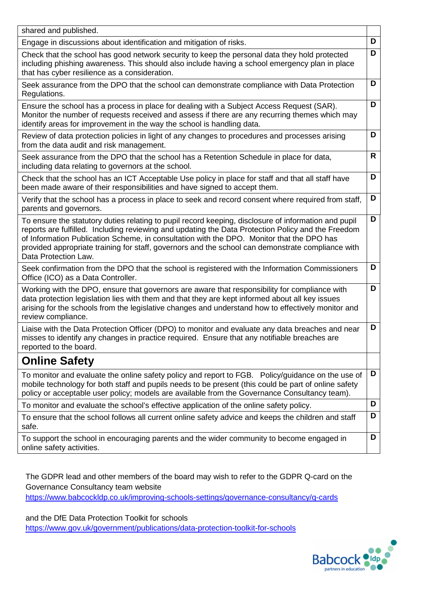| shared and published.                                                                                                                                                                                                                                                                                                                                                                                                                |   |
|--------------------------------------------------------------------------------------------------------------------------------------------------------------------------------------------------------------------------------------------------------------------------------------------------------------------------------------------------------------------------------------------------------------------------------------|---|
| Engage in discussions about identification and mitigation of risks.                                                                                                                                                                                                                                                                                                                                                                  | D |
| Check that the school has good network security to keep the personal data they hold protected<br>including phishing awareness. This should also include having a school emergency plan in place<br>that has cyber resilience as a consideration.                                                                                                                                                                                     | D |
| Seek assurance from the DPO that the school can demonstrate compliance with Data Protection<br>Regulations.                                                                                                                                                                                                                                                                                                                          | D |
| Ensure the school has a process in place for dealing with a Subject Access Request (SAR).<br>Monitor the number of requests received and assess if there are any recurring themes which may<br>identify areas for improvement in the way the school is handling data.                                                                                                                                                                | D |
| Review of data protection policies in light of any changes to procedures and processes arising<br>from the data audit and risk management.                                                                                                                                                                                                                                                                                           | D |
| Seek assurance from the DPO that the school has a Retention Schedule in place for data,<br>including data relating to governors at the school.                                                                                                                                                                                                                                                                                       | R |
| Check that the school has an ICT Acceptable Use policy in place for staff and that all staff have<br>been made aware of their responsibilities and have signed to accept them.                                                                                                                                                                                                                                                       | D |
| Verify that the school has a process in place to seek and record consent where required from staff,<br>parents and governors.                                                                                                                                                                                                                                                                                                        | D |
| To ensure the statutory duties relating to pupil record keeping, disclosure of information and pupil<br>reports are fulfilled. Including reviewing and updating the Data Protection Policy and the Freedom<br>of Information Publication Scheme, in consultation with the DPO. Monitor that the DPO has<br>provided appropriate training for staff, governors and the school can demonstrate compliance with<br>Data Protection Law. | D |
| Seek confirmation from the DPO that the school is registered with the Information Commissioners<br>Office (ICO) as a Data Controller.                                                                                                                                                                                                                                                                                                | D |
| Working with the DPO, ensure that governors are aware that responsibility for compliance with<br>data protection legislation lies with them and that they are kept informed about all key issues<br>arising for the schools from the legislative changes and understand how to effectively monitor and<br>review compliance.                                                                                                         | D |
| Liaise with the Data Protection Officer (DPO) to monitor and evaluate any data breaches and near<br>misses to identify any changes in practice required. Ensure that any notifiable breaches are<br>reported to the board.                                                                                                                                                                                                           | D |
| <b>Online Safety</b>                                                                                                                                                                                                                                                                                                                                                                                                                 |   |
| To monitor and evaluate the online safety policy and report to FGB. Policy/guidance on the use of<br>mobile technology for both staff and pupils needs to be present (this could be part of online safety<br>policy or acceptable user policy; models are available from the Governance Consultancy team).                                                                                                                           | D |
| To monitor and evaluate the school's effective application of the online safety policy.                                                                                                                                                                                                                                                                                                                                              | D |
| To ensure that the school follows all current online safety advice and keeps the children and staff<br>safe.                                                                                                                                                                                                                                                                                                                         | D |
| To support the school in encouraging parents and the wider community to become engaged in<br>online safety activities.                                                                                                                                                                                                                                                                                                               | D |

The GDPR lead and other members of the board may wish to refer to the GDPR Q-card on the Governance Consultancy team website

https://www.babcockldp.co.uk/improving-schools-settings/governance-consultancy/q-cards

and the DfE Data Protection Toolkit for schools

https://www.gov.uk/government/publications/data-protection-toolkit-for-schools